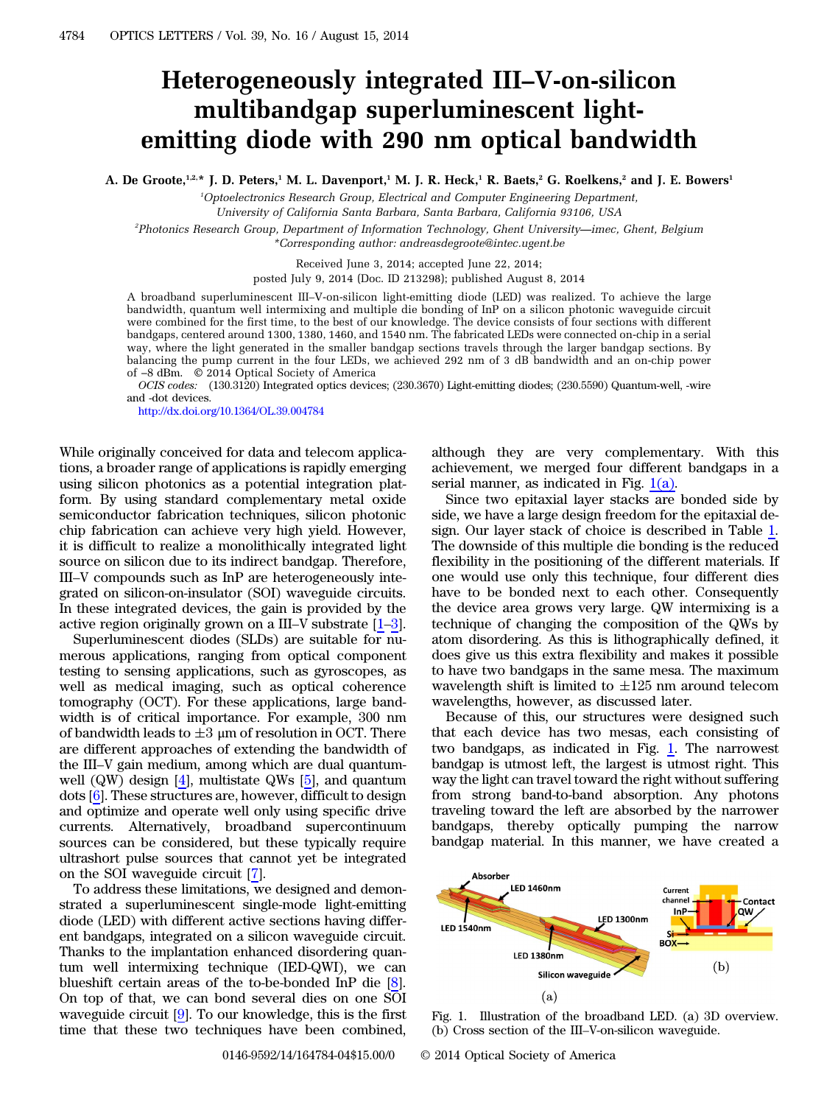## Heterogeneously integrated III*–*V-on-silicon multibandgap superluminescent lightemitting diode with 290 nm optical bandwidth

A. De Groote,<sup>1,2,\*</sup> J. D. Peters,<sup>1</sup> M. L. Davenport,<sup>1</sup> M. J. R. Heck,<sup>1</sup> R. Baets,<sup>2</sup> G. Roelkens,<sup>2</sup> and J. E. Bowers<sup>1</sup>

<sup>1</sup>Optoelectronics Research Group, Electrical and Computer Engineering Department,

University of California Santa Barbara, Santa Barbara, California 93106, USA

2 Photonics Research Group, Department of Information Technology, Ghent University*—*imec, Ghent, Belgium \*Corresponding author: andreasdegroote@intec.ugent.be

Received June 3, 2014; accepted June 22, 2014;

posted July 9, 2014 (Doc. ID 213298); published August 8, 2014

A broadband superluminescent III–V-on-silicon light-emitting diode (LED) was realized. To achieve the large bandwidth, quantum well intermixing and multiple die bonding of InP on a silicon photonic waveguide circuit were combined for the first time, to the best of our knowledge. The device consists of four sections with different bandgaps, centered around 1300, 1380, 1460, and 1540 nm. The fabricated LEDs were connected on-chip in a serial way, where the light generated in the smaller bandgap sections travels through the larger bandgap sections. By balancing the pump current in the four LEDs, we achieved 292 nm of 3 dB bandwidth and an on-chip power of *−*8 dBm. © 2014 Optical Society of America

OCIS codes: (130.3120) Integrated optics devices; (230.3670) Light-emitting diodes; (230.5590) Quantum-well, -wire and -dot devices.

<http://dx.doi.org/10.1364/OL.39.004784>

While originally conceived for data and telecom applications, a broader range of applications is rapidly emerging using silicon photonics as a potential integration platform. By using standard complementary metal oxide semiconductor fabrication techniques, silicon photonic chip fabrication can achieve very high yield. However, it is difficult to realize a monolithically integrated light source on silicon due to its indirect bandgap. Therefore, III–V compounds such as InP are heterogeneously integrated on silicon-on-insulator (SOI) waveguide circuits. In these integrated devices, the gain is provided by the active region originally grown on a III–V substrate [\[1](#page-3-0)–[3](#page-3-1)].

Superluminescent diodes (SLDs) are suitable for numerous applications, ranging from optical component testing to sensing applications, such as gyroscopes, as well as medical imaging, such as optical coherence tomography (OCT). For these applications, large bandwidth is of critical importance. For example, 300 nm of bandwidth leads to  $\pm 3$  µm of resolution in OCT. There are different approaches of extending the bandwidth of the III–V gain medium, among which are dual quantumwell (QW) design [[4\]](#page-3-2), multistate QWs [[5\]](#page-3-3), and quantum dots [[6\]](#page-3-4). These structures are, however, difficult to design and optimize and operate well only using specific drive currents. Alternatively, broadband supercontinuum sources can be considered, but these typically require ultrashort pulse sources that cannot yet be integrated on the SOI waveguide circuit [\[7](#page-3-5)].

To address these limitations, we designed and demonstrated a superluminescent single-mode light-emitting diode (LED) with different active sections having different bandgaps, integrated on a silicon waveguide circuit. Thanks to the implantation enhanced disordering quantum well intermixing technique (IED-QWI), we can blueshift certain areas of the to-be-bonded InP die [\[8](#page-3-6)]. On top of that, we can bond several dies on one SOI waveguide circuit [[9\]](#page-3-7). To our knowledge, this is the first time that these two techniques have been combined,

although they are very complementary. With this achievement, we merged four different bandgaps in a serial manner, as indicated in Fig.  $1(a)$ .

Since two epitaxial layer stacks are bonded side by side, we have a large design freedom for the epitaxial design. Our layer stack of choice is described in Table [1.](#page-1-0) The downside of this multiple die bonding is the reduced flexibility in the positioning of the different materials. If one would use only this technique, four different dies have to be bonded next to each other. Consequently the device area grows very large. QW intermixing is a technique of changing the composition of the QWs by atom disordering. As this is lithographically defined, it does give us this extra flexibility and makes it possible to have two bandgaps in the same mesa. The maximum wavelength shift is limited to  $\pm 125$  nm around telecom wavelengths, however, as discussed later.

Because of this, our structures were designed such that each device has two mesas, each consisting of two bandgaps, as indicated in Fig. [1](#page-0-0). The narrowest bandgap is utmost left, the largest is utmost right. This way the light can travel toward the right without suffering from strong band-to-band absorption. Any photons traveling toward the left are absorbed by the narrower bandgaps, thereby optically pumping the narrow bandgap material. In this manner, we have created a

<span id="page-0-0"></span>

Fig. 1. Illustration of the broadband LED. (a) 3D overview. (b) Cross section of the III–V-on-silicon waveguide.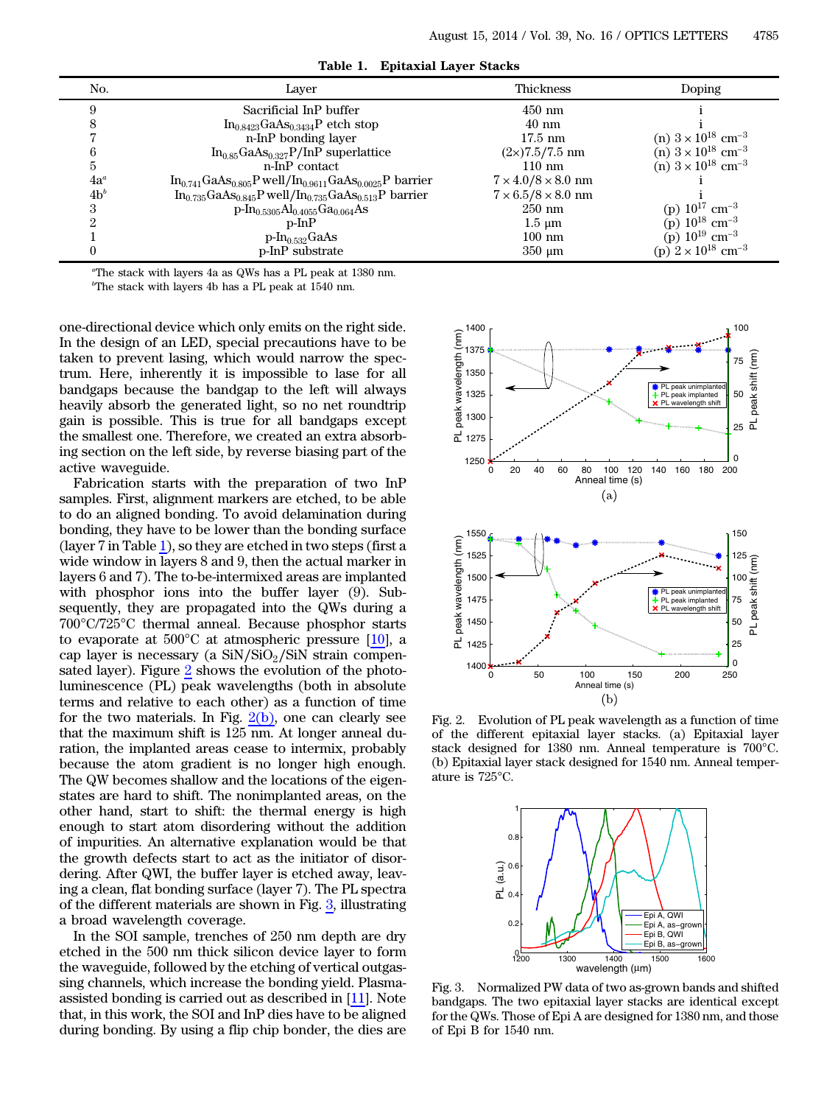<span id="page-1-0"></span>

| No.    | Laver                                                               | Thickness                        | Doping                                  |
|--------|---------------------------------------------------------------------|----------------------------------|-----------------------------------------|
|        | Sacrificial InP buffer                                              | $450$ nm                         |                                         |
|        | $In0.8423GaAs0.3434P$ etch stop                                     | $40 \text{ nm}$                  |                                         |
|        | n-InP bonding layer                                                 | $17.5 \text{ nm}$                | (n) $3 \times 10^{18}$ cm <sup>-3</sup> |
|        | $In0.85GaAs0.327P/InP superlattice$                                 | $(2\times)7.5/7.5$ nm            | (n) $3 \times 10^{18}$ cm <sup>-3</sup> |
| b.     | n-InP contact                                                       | $110 \text{ nm}$                 | (n) $3 \times 10^{18}$ cm <sup>-3</sup> |
| $4a^a$ | $In_{0.741}GaAs_{0.805}P$ well/ $In_{0.9611}GaAs_{0.0025}P$ barrier | $7 \times 4.0 / 8 \times 8.0$ nm |                                         |
| $4b^b$ | $In_{0.735}GaAs_{0.845}P$ well/ $In_{0.735}GaAs_{0.513}P$ barrier   | $7 \times 6.5/8 \times 8.0$ nm   |                                         |
| З      | $p\text{-}In_{0.5305}Al_{0.4055}Ga_{0.064}As$                       | $250$ nm                         | (p) $10^{17}$ cm <sup>-3</sup>          |
|        | $p-InP$                                                             | $1.5 \mu m$                      | (p) $10^{18}$ cm <sup>-3</sup>          |
|        | $p\text{-}In_{0.532}$ GaAs                                          | $100 \text{ nm}$                 | (p) $10^{19}$ cm <sup>-3</sup>          |
|        | p-InP substrate                                                     | $350 \mu m$                      | (p) $2 \times 10^{18}$ cm <sup>-3</sup> |

Table 1. Epitaxial Layer Stacks

a The stack with layers 4a as QWs has a PL peak at 1380 nm.

b The stack with layers 4b has a PL peak at 1540 nm.

one-directional device which only emits on the right side. In the design of an LED, special precautions have to be taken to prevent lasing, which would narrow the spectrum. Here, inherently it is impossible to lase for all bandgaps because the bandgap to the left will always heavily absorb the generated light, so no net roundtrip gain is possible. This is true for all bandgaps except the smallest one. Therefore, we created an extra absorbing section on the left side, by reverse biasing part of the active waveguide.

Fabrication starts with the preparation of two InP samples. First, alignment markers are etched, to be able to do an aligned bonding. To avoid delamination during bonding, they have to be lower than the bonding surface (layer 7 in Table [1](#page-1-0)), so they are etched in two steps (first a wide window in layers 8 and 9, then the actual marker in layers 6 and 7). The to-be-intermixed areas are implanted with phosphor ions into the buffer layer (9). Subsequently, they are propagated into the QWs during a 700°C/725°C thermal anneal. Because phosphor starts to evaporate at 500°C at atmospheric pressure [[10\]](#page-3-8), a cap layer is necessary (a  $\text{SiN/SiO}_2/\text{SiN}$  strain compensated layer). Figure [2](#page-1-1) shows the evolution of the photoluminescence (PL) peak wavelengths (both in absolute terms and relative to each other) as a function of time for the two materials. In Fig.  $2(b)$ , one can clearly see that the maximum shift is 125 nm. At longer anneal duration, the implanted areas cease to intermix, probably because the atom gradient is no longer high enough. The QW becomes shallow and the locations of the eigenstates are hard to shift. The nonimplanted areas, on the other hand, start to shift: the thermal energy is high enough to start atom disordering without the addition of impurities. An alternative explanation would be that the growth defects start to act as the initiator of disordering. After QWI, the buffer layer is etched away, leaving a clean, flat bonding surface (layer 7). The PL spectra of the different materials are shown in Fig. [3](#page-1-2), illustrating a broad wavelength coverage.

In the SOI sample, trenches of 250 nm depth are dry etched in the 500 nm thick silicon device layer to form the waveguide, followed by the etching of vertical outgassing channels, which increase the bonding yield. Plasmaassisted bonding is carried out as described in [[11\]](#page-3-9). Note that, in this work, the SOI and InP dies have to be aligned during bonding. By using a flip chip bonder, the dies are

<span id="page-1-1"></span>

Fig. 2. Evolution of PL peak wavelength as a function of time of the different epitaxial layer stacks. (a) Epitaxial layer stack designed for 1380 nm. Anneal temperature is 700°C. (b) Epitaxial layer stack designed for 1540 nm. Anneal temperature is 725°C.

<span id="page-1-2"></span>

Fig. 3. Normalized PW data of two as-grown bands and shifted bandgaps. The two epitaxial layer stacks are identical except for the QWs. Those of Epi A are designed for 1380 nm, and those of Epi B for 1540 nm.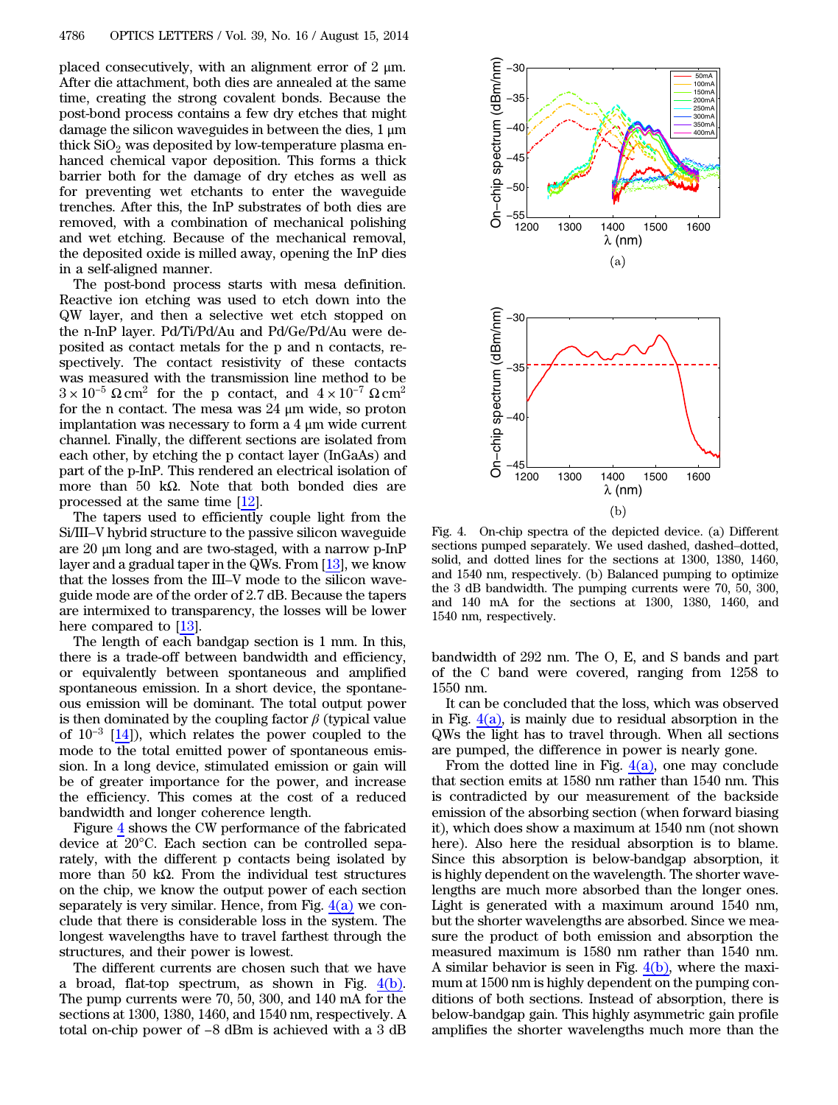placed consecutively, with an alignment error of  $2 \mu m$ . After die attachment, both dies are annealed at the same time, creating the strong covalent bonds. Because the post-bond process contains a few dry etches that might damage the silicon waveguides in between the dies,  $1 \mu m$ thick  $SiO<sub>2</sub>$  was deposited by low-temperature plasma enhanced chemical vapor deposition. This forms a thick barrier both for the damage of dry etches as well as for preventing wet etchants to enter the waveguide trenches. After this, the InP substrates of both dies are removed, with a combination of mechanical polishing and wet etching. Because of the mechanical removal, the deposited oxide is milled away, opening the InP dies in a self-aligned manner.

The post-bond process starts with mesa definition. Reactive ion etching was used to etch down into the QW layer, and then a selective wet etch stopped on the n-InP layer. Pd/Ti/Pd/Au and Pd/Ge/Pd/Au were deposited as contact metals for the p and n contacts, respectively. The contact resistivity of these contacts was measured with the transmission line method to be  $3 \times 10^{-5} \Omega \text{ cm}^2$  for the p contact, and  $4 \times 10^{-7} \Omega \text{ cm}^2$ for the n contact. The mesa was 24 μm wide, so proton implantation was necessary to form a 4 μm wide current channel. Finally, the different sections are isolated from each other, by etching the p contact layer (InGaAs) and part of the p-InP. This rendered an electrical isolation of more than 50 kΩ. Note that both bonded dies are processed at the same time [[12\]](#page-3-10).

The tapers used to efficiently couple light from the Si/III–V hybrid structure to the passive silicon waveguide are 20 μm long and are two-staged, with a narrow p-InP layer and a gradual taper in the QWs. From [\[13](#page-3-11)], we know that the losses from the III–V mode to the silicon waveguide mode are of the order of 2.7 dB. Because the tapers are intermixed to transparency, the losses will be lower here compared to [[13\]](#page-3-11).

The length of each bandgap section is 1 mm. In this, there is a trade-off between bandwidth and efficiency, or equivalently between spontaneous and amplified spontaneous emission. In a short device, the spontaneous emission will be dominant. The total output power is then dominated by the coupling factor  $\beta$  (typical value of  $10^{-3}$  [\[14\]](#page-3-12)), which relates the power coupled to the mode to the total emitted power of spontaneous emission. In a long device, stimulated emission or gain will be of greater importance for the power, and increase the efficiency. This comes at the cost of a reduced bandwidth and longer coherence length.

Figure [4](#page-2-0) shows the CW performance of the fabricated device at 20°C. Each section can be controlled separately, with the different p contacts being isolated by more than 50 kΩ. From the individual test structures on the chip, we know the output power of each section separately is very similar. Hence, from Fig.  $4(a)$  we conclude that there is considerable loss in the system. The longest wavelengths have to travel farthest through the structures, and their power is lowest.

The different currents are chosen such that we have a broad, flat-top spectrum, as shown in Fig. [4\(b\).](#page-2-0) The pump currents were 70, 50, 300, and 140 mA for the sections at 1300, 1380, 1460, and 1540 nm, respectively. A the directive cartesian conservation that we have<br>a broad, flat-top spectrum, as shown in Fig.  $\frac{4(b)}{2}$ .<br>The pump currents were 70, 50, 300, and 140 mA for the<br>sections at 1300, 1380, 1460, and 1540 nm, respectively. A

<span id="page-2-0"></span>

Fig. 4. On-chip spectra of the depicted device. (a) Different sections pumped separately. We used dashed, dashed–dotted, solid, and dotted lines for the sections at 1300, 1380, 1460, and 1540 nm, respectively. (b) Balanced pumping to optimize the 3 dB bandwidth. The pumping currents were 70, 50, 300, and 140 mA for the sections at 1300, 1380, 1460, and 1540 nm, respectively.

bandwidth of 292 nm. The O, E, and S bands and part of the C band were covered, ranging from 1258 to 1550 nm.

It can be concluded that the loss, which was observed in Fig.  $4(a)$ , is mainly due to residual absorption in the QWs the light has to travel through. When all sections are pumped, the difference in power is nearly gone.

From the dotted line in Fig.  $4(a)$ , one may conclude that section emits at 1580 nm rather than 1540 nm. This is contradicted by our measurement of the backside emission of the absorbing section (when forward biasing it), which does show a maximum at 1540 nm (not shown here). Also here the residual absorption is to blame. Since this absorption is below-bandgap absorption, it is highly dependent on the wavelength. The shorter wavelengths are much more absorbed than the longer ones. Light is generated with a maximum around 1540 nm, but the shorter wavelengths are absorbed. Since we measure the product of both emission and absorption the measured maximum is 1580 nm rather than 1540 nm. A similar behavior is seen in Fig.  $4(b)$ , where the maximum at 1500 nm is highly dependent on the pumping conditions of both sections. Instead of absorption, there is below-bandgap gain. This highly asymmetric gain profile amplifies the shorter wavelengths much more than the